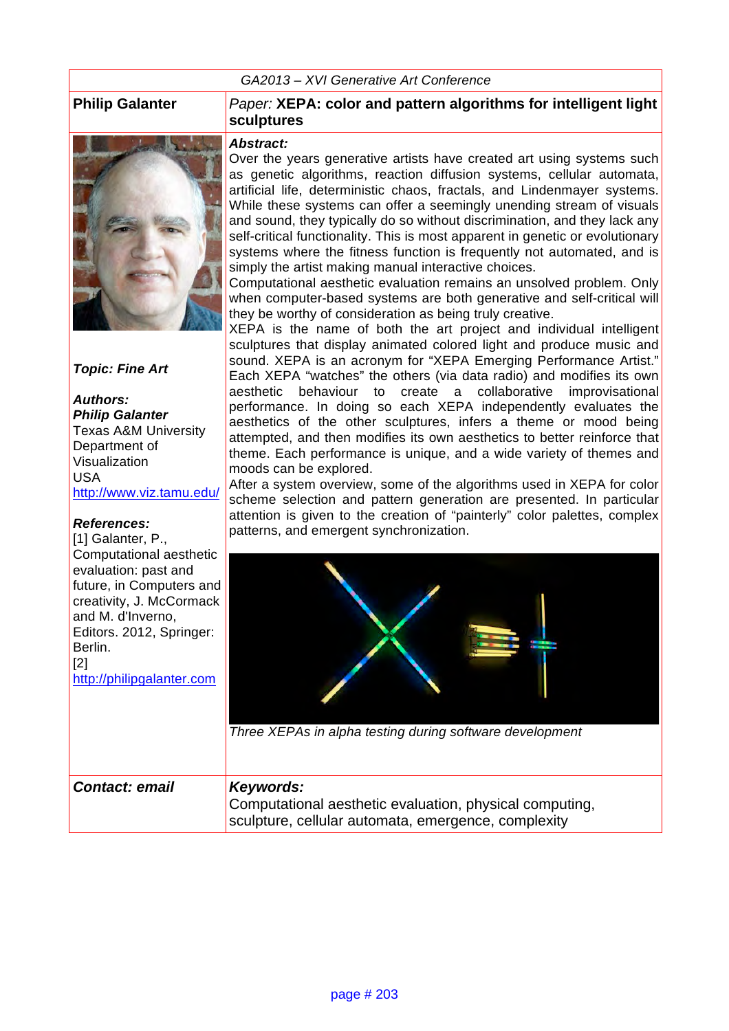#### *GA2013 – XVI Generative Art Conference*



*Topic: Fine Art*

*Authors: Philip Galanter* Texas A&M University Department of Visualization USA http://www.viz.tamu.edu/

#### *References:*

[1] Galanter, P., Computational aesthetic evaluation: past and future, in Computers and creativity, J. McCormack and M. d'Inverno, Editors. 2012, Springer: Berlin. [2] http://philipgalanter.com

#### **Philip Galanter** *Paper:* **XEPA: color and pattern algorithms for intelligent light sculptures**

#### *Abstract:*

Over the years generative artists have created art using systems such as genetic algorithms, reaction diffusion systems, cellular automata, artificial life, deterministic chaos, fractals, and Lindenmayer systems. While these systems can offer a seemingly unending stream of visuals and sound, they typically do so without discrimination, and they lack any self-critical functionality. This is most apparent in genetic or evolutionary systems where the fitness function is frequently not automated, and is simply the artist making manual interactive choices.

Computational aesthetic evaluation remains an unsolved problem. Only when computer-based systems are both generative and self-critical will they be worthy of consideration as being truly creative.

XEPA is the name of both the art project and individual intelligent sculptures that display animated colored light and produce music and sound. XEPA is an acronym for "XEPA Emerging Performance Artist." Each XEPA "watches" the others (via data radio) and modifies its own aesthetic behaviour to create a collaborative improvisational performance. In doing so each XEPA independently evaluates the aesthetics of the other sculptures, infers a theme or mood being attempted, and then modifies its own aesthetics to better reinforce that theme. Each performance is unique, and a wide variety of themes and moods can be explored.

After a system overview, some of the algorithms used in XEPA for color scheme selection and pattern generation are presented. In particular attention is given to the creation of "painterly" color palettes, complex patterns, and emergent synchronization.



*Three XEPAs in alpha testing during software development* 

| <b>Contact: email</b> | Keywords:                                                                                                      |
|-----------------------|----------------------------------------------------------------------------------------------------------------|
|                       | Computational aesthetic evaluation, physical computing,<br>sculpture, cellular automata, emergence, complexity |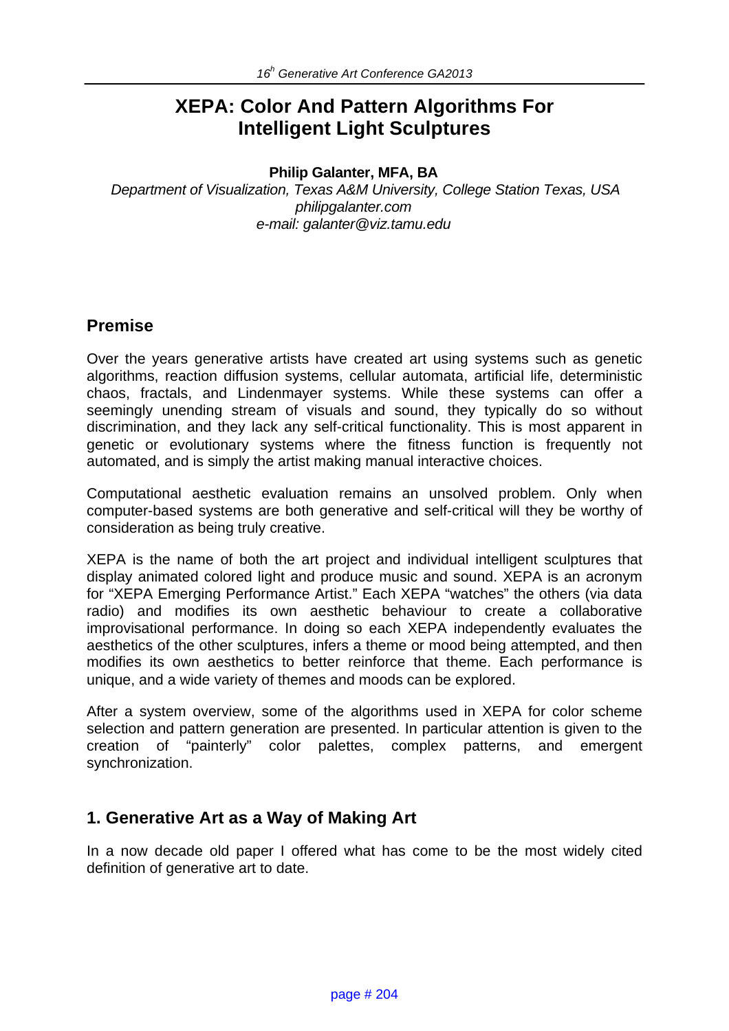# **XEPA: Color And Pattern Algorithms For Intelligent Light Sculptures**

#### **Philip Galanter, MFA, BA**

*Department of Visualization, Texas A&M University, College Station Texas, USA philipgalanter.com e-mail: galanter@viz.tamu.edu*

## **Premise**

Over the years generative artists have created art using systems such as genetic algorithms, reaction diffusion systems, cellular automata, artificial life, deterministic chaos, fractals, and Lindenmayer systems. While these systems can offer a seemingly unending stream of visuals and sound, they typically do so without discrimination, and they lack any self-critical functionality. This is most apparent in genetic or evolutionary systems where the fitness function is frequently not automated, and is simply the artist making manual interactive choices.

Computational aesthetic evaluation remains an unsolved problem. Only when computer-based systems are both generative and self-critical will they be worthy of consideration as being truly creative.

XEPA is the name of both the art project and individual intelligent sculptures that display animated colored light and produce music and sound. XEPA is an acronym for "XEPA Emerging Performance Artist." Each XEPA "watches" the others (via data radio) and modifies its own aesthetic behaviour to create a collaborative improvisational performance. In doing so each XEPA independently evaluates the aesthetics of the other sculptures, infers a theme or mood being attempted, and then modifies its own aesthetics to better reinforce that theme. Each performance is unique, and a wide variety of themes and moods can be explored.

After a system overview, some of the algorithms used in XEPA for color scheme selection and pattern generation are presented. In particular attention is given to the creation of "painterly" color palettes, complex patterns, and emergent synchronization.

## **1. Generative Art as a Way of Making Art**

In a now decade old paper I offered what has come to be the most widely cited definition of generative art to date.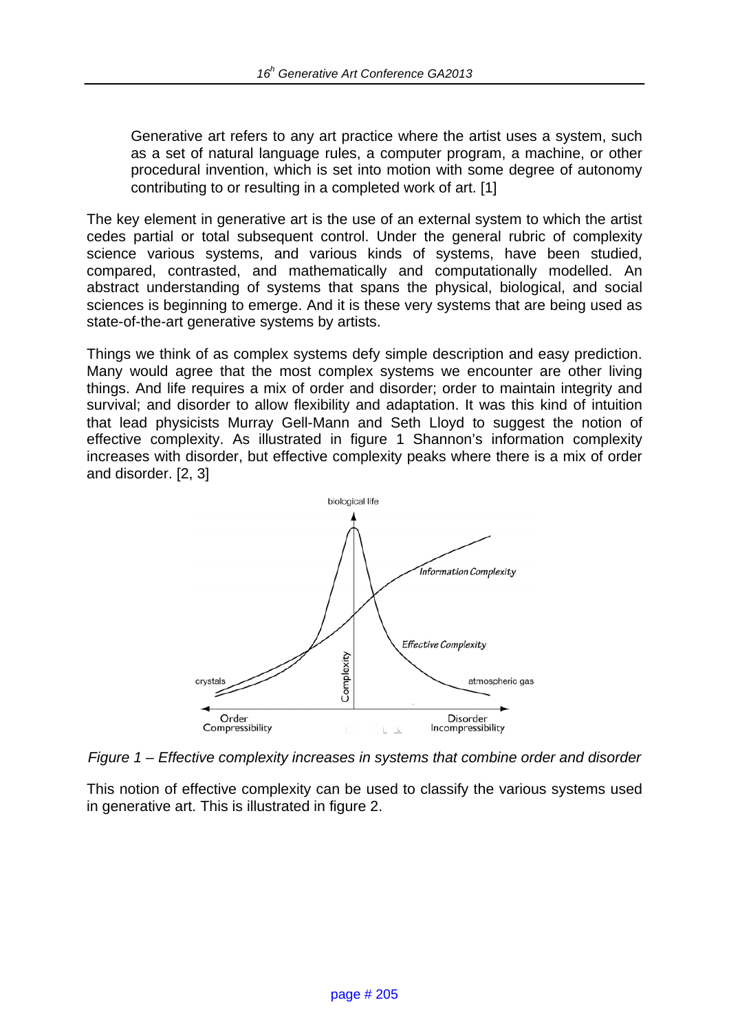Generative art refers to any art practice where the artist uses a system, such as a set of natural language rules, a computer program, a machine, or other procedural invention, which is set into motion with some degree of autonomy contributing to or resulting in a completed work of art. [1]

The key element in generative art is the use of an external system to which the artist cedes partial or total subsequent control. Under the general rubric of complexity science various systems, and various kinds of systems, have been studied, compared, contrasted, and mathematically and computationally modelled. An abstract understanding of systems that spans the physical, biological, and social sciences is beginning to emerge. And it is these very systems that are being used as state-of-the-art generative systems by artists.

Things we think of as complex systems defy simple description and easy prediction. Many would agree that the most complex systems we encounter are other living things. And life requires a mix of order and disorder; order to maintain integrity and survival; and disorder to allow flexibility and adaptation. It was this kind of intuition that lead physicists Murray Gell-Mann and Seth Lloyd to suggest the notion of effective complexity. As illustrated in figure 1 Shannon's information complexity increases with disorder, but effective complexity peaks where there is a mix of order and disorder. [2, 3]



*Figure 1 – Effective complexity increases in systems that combine order and disorder* 

This notion of effective complexity can be used to classify the various systems used in generative art. This is illustrated in figure 2.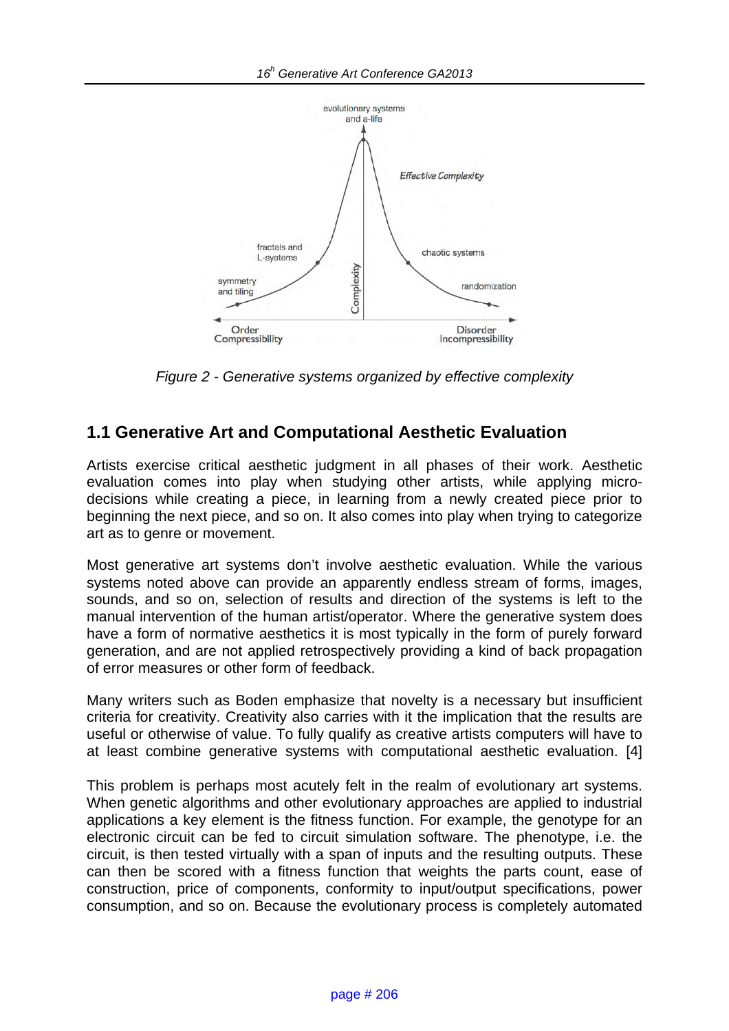

*Figure 2 - Generative systems organized by effective complexity* 

## **1.1 Generative Art and Computational Aesthetic Evaluation**

Artists exercise critical aesthetic judgment in all phases of their work. Aesthetic evaluation comes into play when studying other artists, while applying microdecisions while creating a piece, in learning from a newly created piece prior to beginning the next piece, and so on. It also comes into play when trying to categorize art as to genre or movement.

Most generative art systems don't involve aesthetic evaluation. While the various systems noted above can provide an apparently endless stream of forms, images, sounds, and so on, selection of results and direction of the systems is left to the manual intervention of the human artist/operator. Where the generative system does have a form of normative aesthetics it is most typically in the form of purely forward generation, and are not applied retrospectively providing a kind of back propagation of error measures or other form of feedback.

Many writers such as Boden emphasize that novelty is a necessary but insufficient criteria for creativity. Creativity also carries with it the implication that the results are useful or otherwise of value. To fully qualify as creative artists computers will have to at least combine generative systems with computational aesthetic evaluation. [4]

This problem is perhaps most acutely felt in the realm of evolutionary art systems. When genetic algorithms and other evolutionary approaches are applied to industrial applications a key element is the fitness function. For example, the genotype for an electronic circuit can be fed to circuit simulation software. The phenotype, i.e. the circuit, is then tested virtually with a span of inputs and the resulting outputs. These can then be scored with a fitness function that weights the parts count, ease of construction, price of components, conformity to input/output specifications, power consumption, and so on. Because the evolutionary process is completely automated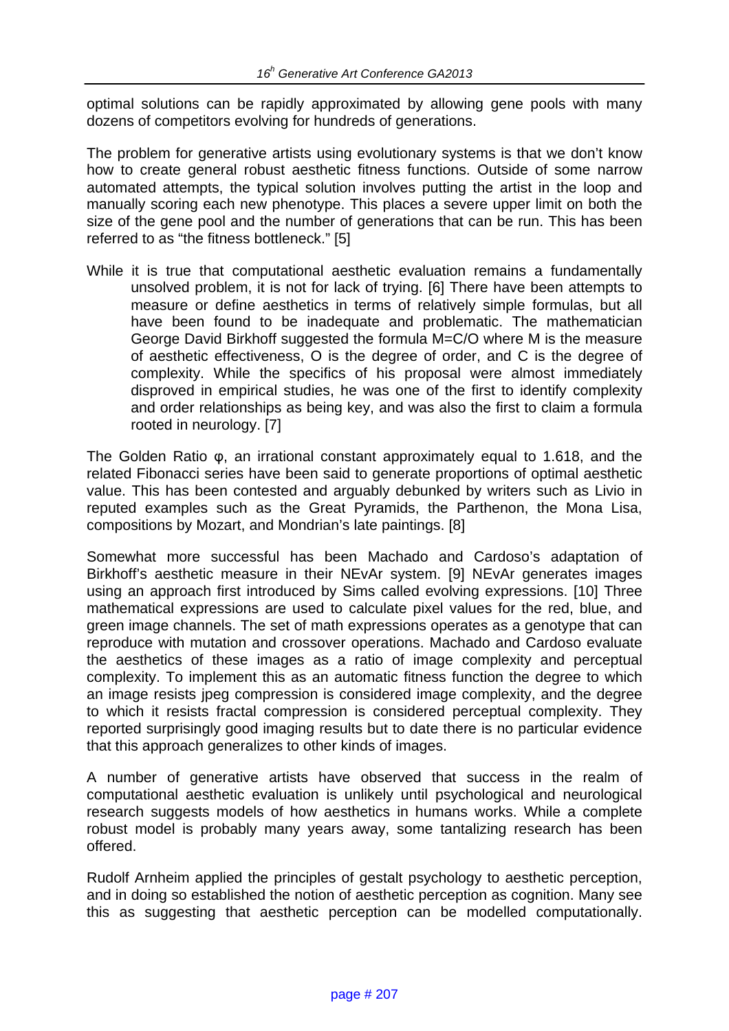optimal solutions can be rapidly approximated by allowing gene pools with many dozens of competitors evolving for hundreds of generations.

The problem for generative artists using evolutionary systems is that we don't know how to create general robust aesthetic fitness functions. Outside of some narrow automated attempts, the typical solution involves putting the artist in the loop and manually scoring each new phenotype. This places a severe upper limit on both the size of the gene pool and the number of generations that can be run. This has been referred to as "the fitness bottleneck." [5]

While it is true that computational aesthetic evaluation remains a fundamentally unsolved problem, it is not for lack of trying. [6] There have been attempts to measure or define aesthetics in terms of relatively simple formulas, but all have been found to be inadequate and problematic. The mathematician George David Birkhoff suggested the formula M=C/O where M is the measure of aesthetic effectiveness, O is the degree of order, and C is the degree of complexity. While the specifics of his proposal were almost immediately disproved in empirical studies, he was one of the first to identify complexity and order relationships as being key, and was also the first to claim a formula rooted in neurology. [7]

The Golden Ratio φ, an irrational constant approximately equal to 1.618, and the related Fibonacci series have been said to generate proportions of optimal aesthetic value. This has been contested and arguably debunked by writers such as Livio in reputed examples such as the Great Pyramids, the Parthenon, the Mona Lisa, compositions by Mozart, and Mondrian's late paintings. [8]

Somewhat more successful has been Machado and Cardoso's adaptation of Birkhoff's aesthetic measure in their NEvAr system. [9] NEvAr generates images using an approach first introduced by Sims called evolving expressions. [10] Three mathematical expressions are used to calculate pixel values for the red, blue, and green image channels. The set of math expressions operates as a genotype that can reproduce with mutation and crossover operations. Machado and Cardoso evaluate the aesthetics of these images as a ratio of image complexity and perceptual complexity. To implement this as an automatic fitness function the degree to which an image resists jpeg compression is considered image complexity, and the degree to which it resists fractal compression is considered perceptual complexity. They reported surprisingly good imaging results but to date there is no particular evidence that this approach generalizes to other kinds of images.

A number of generative artists have observed that success in the realm of computational aesthetic evaluation is unlikely until psychological and neurological research suggests models of how aesthetics in humans works. While a complete robust model is probably many years away, some tantalizing research has been offered.

Rudolf Arnheim applied the principles of gestalt psychology to aesthetic perception, and in doing so established the notion of aesthetic perception as cognition. Many see this as suggesting that aesthetic perception can be modelled computationally.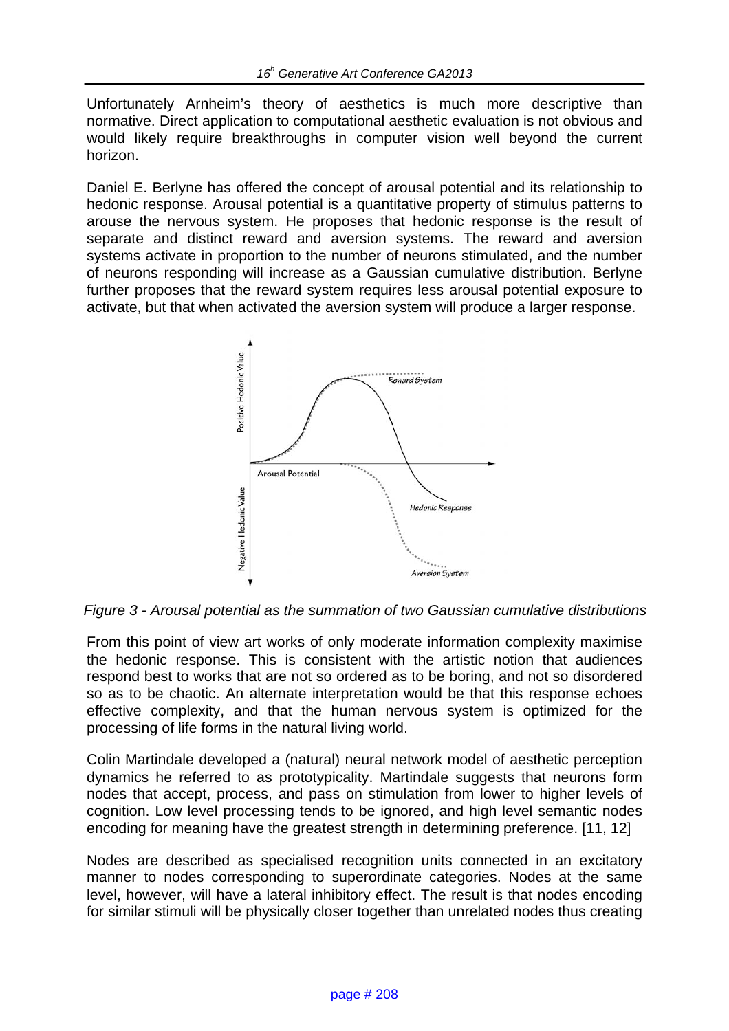Unfortunately Arnheim's theory of aesthetics is much more descriptive than normative. Direct application to computational aesthetic evaluation is not obvious and would likely require breakthroughs in computer vision well beyond the current horizon.

Daniel E. Berlyne has offered the concept of arousal potential and its relationship to hedonic response. Arousal potential is a quantitative property of stimulus patterns to arouse the nervous system. He proposes that hedonic response is the result of separate and distinct reward and aversion systems. The reward and aversion systems activate in proportion to the number of neurons stimulated, and the number of neurons responding will increase as a Gaussian cumulative distribution. Berlyne further proposes that the reward system requires less arousal potential exposure to activate, but that when activated the aversion system will produce a larger response.



*Figure 3 - Arousal potential as the summation of two Gaussian cumulative distributions* 

From this point of view art works of only moderate information complexity maximise the hedonic response. This is consistent with the artistic notion that audiences respond best to works that are not so ordered as to be boring, and not so disordered so as to be chaotic. An alternate interpretation would be that this response echoes effective complexity, and that the human nervous system is optimized for the processing of life forms in the natural living world.

Colin Martindale developed a (natural) neural network model of aesthetic perception dynamics he referred to as prototypicality. Martindale suggests that neurons form nodes that accept, process, and pass on stimulation from lower to higher levels of cognition. Low level processing tends to be ignored, and high level semantic nodes encoding for meaning have the greatest strength in determining preference. [11, 12]

Nodes are described as specialised recognition units connected in an excitatory manner to nodes corresponding to superordinate categories. Nodes at the same level, however, will have a lateral inhibitory effect. The result is that nodes encoding for similar stimuli will be physically closer together than unrelated nodes thus creating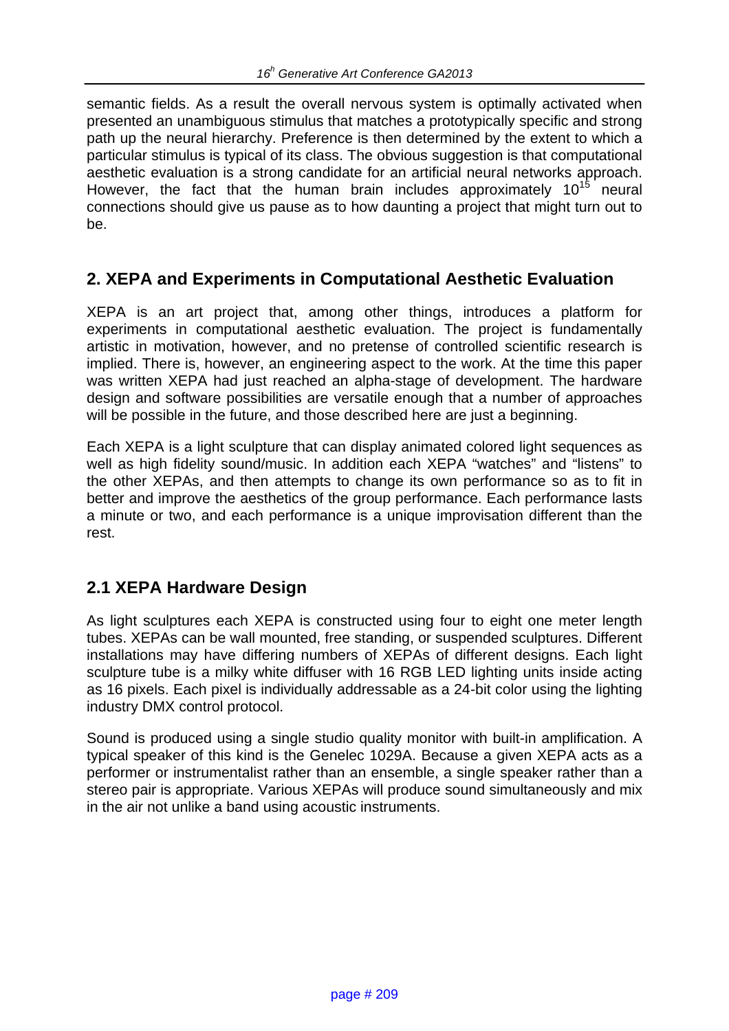semantic fields. As a result the overall nervous system is optimally activated when presented an unambiguous stimulus that matches a prototypically specific and strong path up the neural hierarchy. Preference is then determined by the extent to which a particular stimulus is typical of its class. The obvious suggestion is that computational aesthetic evaluation is a strong candidate for an artificial neural networks approach. However, the fact that the human brain includes approximately  $10^{15}$  neural connections should give us pause as to how daunting a project that might turn out to be.

## **2. XEPA and Experiments in Computational Aesthetic Evaluation**

XEPA is an art project that, among other things, introduces a platform for experiments in computational aesthetic evaluation. The project is fundamentally artistic in motivation, however, and no pretense of controlled scientific research is implied. There is, however, an engineering aspect to the work. At the time this paper was written XEPA had just reached an alpha-stage of development. The hardware design and software possibilities are versatile enough that a number of approaches will be possible in the future, and those described here are just a beginning.

Each XEPA is a light sculpture that can display animated colored light sequences as well as high fidelity sound/music. In addition each XEPA "watches" and "listens" to the other XEPAs, and then attempts to change its own performance so as to fit in better and improve the aesthetics of the group performance. Each performance lasts a minute or two, and each performance is a unique improvisation different than the rest.

## **2.1 XEPA Hardware Design**

As light sculptures each XEPA is constructed using four to eight one meter length tubes. XEPAs can be wall mounted, free standing, or suspended sculptures. Different installations may have differing numbers of XEPAs of different designs. Each light sculpture tube is a milky white diffuser with 16 RGB LED lighting units inside acting as 16 pixels. Each pixel is individually addressable as a 24-bit color using the lighting industry DMX control protocol.

Sound is produced using a single studio quality monitor with built-in amplification. A typical speaker of this kind is the Genelec 1029A. Because a given XEPA acts as a performer or instrumentalist rather than an ensemble, a single speaker rather than a stereo pair is appropriate. Various XEPAs will produce sound simultaneously and mix in the air not unlike a band using acoustic instruments.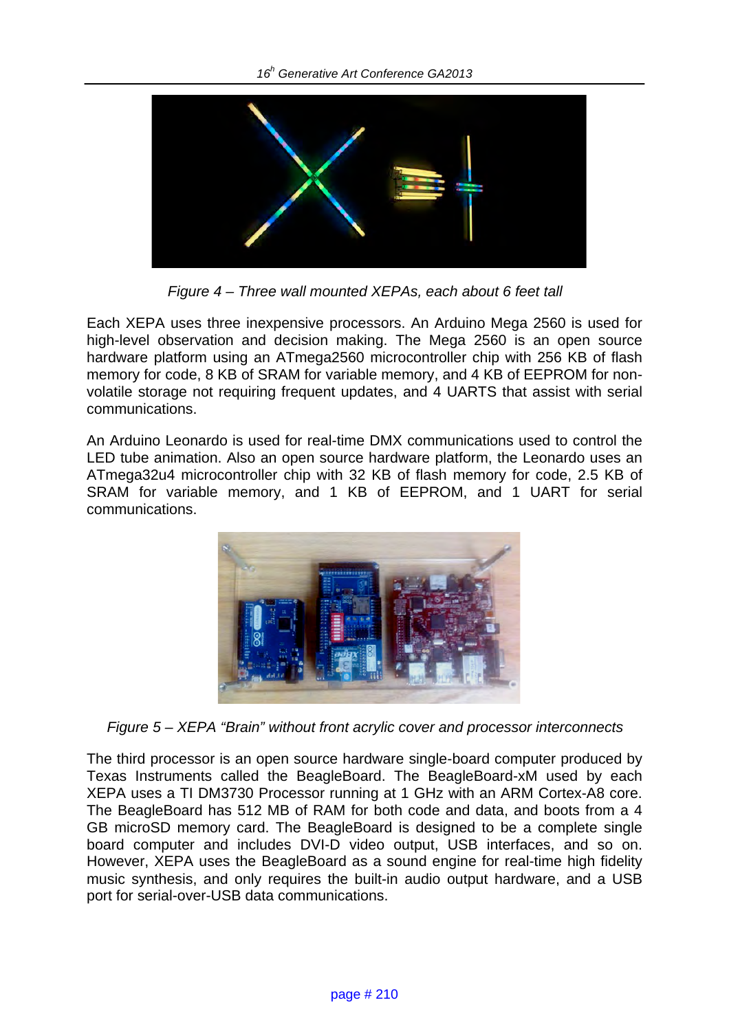

*Figure 4 – Three wall mounted XEPAs, each about 6 feet tall* 

Each XEPA uses three inexpensive processors. An Arduino Mega 2560 is used for high-level observation and decision making. The Mega 2560 is an open source hardware platform using an ATmega2560 microcontroller chip with 256 KB of flash memory for code, 8 KB of SRAM for variable memory, and 4 KB of EEPROM for nonvolatile storage not requiring frequent updates, and 4 UARTS that assist with serial communications.

An Arduino Leonardo is used for real-time DMX communications used to control the LED tube animation. Also an open source hardware platform, the Leonardo uses an ATmega32u4 microcontroller chip with 32 KB of flash memory for code, 2.5 KB of SRAM for variable memory, and 1 KB of EEPROM, and 1 UART for serial communications.



*Figure 5 – XEPA "Brain" without front acrylic cover and processor interconnects* 

The third processor is an open source hardware single-board computer produced by Texas Instruments called the BeagleBoard. The BeagleBoard-xM used by each XEPA uses a TI DM3730 Processor running at 1 GHz with an ARM Cortex-A8 core. The BeagleBoard has 512 MB of RAM for both code and data, and boots from a 4 GB microSD memory card. The BeagleBoard is designed to be a complete single board computer and includes DVI-D video output, USB interfaces, and so on. However, XEPA uses the BeagleBoard as a sound engine for real-time high fidelity music synthesis, and only requires the built-in audio output hardware, and a USB port for serial-over-USB data communications.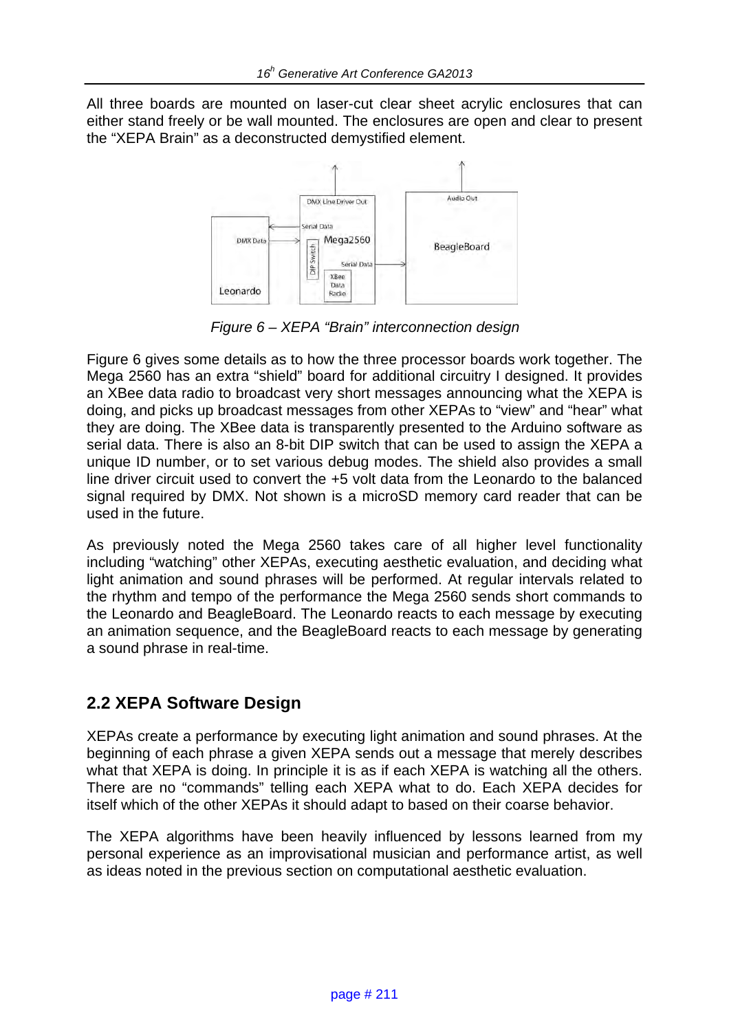All three boards are mounted on laser-cut clear sheet acrylic enclosures that can either stand freely or be wall mounted. The enclosures are open and clear to present the "XEPA Brain" as a deconstructed demystified element.



*Figure 6 – XEPA "Brain" interconnection design* 

Figure 6 gives some details as to how the three processor boards work together. The Mega 2560 has an extra "shield" board for additional circuitry I designed. It provides an XBee data radio to broadcast very short messages announcing what the XEPA is doing, and picks up broadcast messages from other XEPAs to "view" and "hear" what they are doing. The XBee data is transparently presented to the Arduino software as serial data. There is also an 8-bit DIP switch that can be used to assign the XEPA a unique ID number, or to set various debug modes. The shield also provides a small line driver circuit used to convert the +5 volt data from the Leonardo to the balanced signal required by DMX. Not shown is a microSD memory card reader that can be used in the future.

As previously noted the Mega 2560 takes care of all higher level functionality including "watching" other XEPAs, executing aesthetic evaluation, and deciding what light animation and sound phrases will be performed. At regular intervals related to the rhythm and tempo of the performance the Mega 2560 sends short commands to the Leonardo and BeagleBoard. The Leonardo reacts to each message by executing an animation sequence, and the BeagleBoard reacts to each message by generating a sound phrase in real-time.

## **2.2 XEPA Software Design**

XEPAs create a performance by executing light animation and sound phrases. At the beginning of each phrase a given XEPA sends out a message that merely describes what that XEPA is doing. In principle it is as if each XEPA is watching all the others. There are no "commands" telling each XEPA what to do. Each XEPA decides for itself which of the other XEPAs it should adapt to based on their coarse behavior.

The XEPA algorithms have been heavily influenced by lessons learned from my personal experience as an improvisational musician and performance artist, as well as ideas noted in the previous section on computational aesthetic evaluation.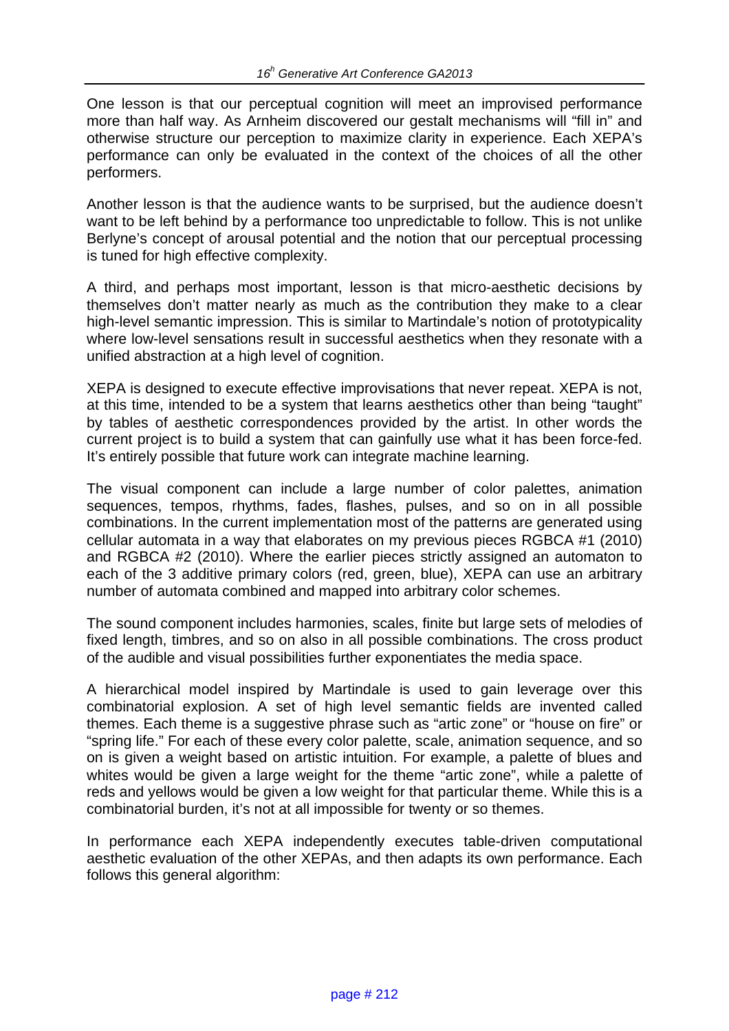One lesson is that our perceptual cognition will meet an improvised performance more than half way. As Arnheim discovered our gestalt mechanisms will "fill in" and otherwise structure our perception to maximize clarity in experience. Each XEPA's performance can only be evaluated in the context of the choices of all the other performers.

Another lesson is that the audience wants to be surprised, but the audience doesn't want to be left behind by a performance too unpredictable to follow. This is not unlike Berlyne's concept of arousal potential and the notion that our perceptual processing is tuned for high effective complexity.

A third, and perhaps most important, lesson is that micro-aesthetic decisions by themselves don't matter nearly as much as the contribution they make to a clear high-level semantic impression. This is similar to Martindale's notion of prototypicality where low-level sensations result in successful aesthetics when they resonate with a unified abstraction at a high level of cognition.

XEPA is designed to execute effective improvisations that never repeat. XEPA is not, at this time, intended to be a system that learns aesthetics other than being "taught" by tables of aesthetic correspondences provided by the artist. In other words the current project is to build a system that can gainfully use what it has been force-fed. It's entirely possible that future work can integrate machine learning.

The visual component can include a large number of color palettes, animation sequences, tempos, rhythms, fades, flashes, pulses, and so on in all possible combinations. In the current implementation most of the patterns are generated using cellular automata in a way that elaborates on my previous pieces RGBCA #1 (2010) and RGBCA #2 (2010). Where the earlier pieces strictly assigned an automaton to each of the 3 additive primary colors (red, green, blue), XEPA can use an arbitrary number of automata combined and mapped into arbitrary color schemes.

The sound component includes harmonies, scales, finite but large sets of melodies of fixed length, timbres, and so on also in all possible combinations. The cross product of the audible and visual possibilities further exponentiates the media space.

A hierarchical model inspired by Martindale is used to gain leverage over this combinatorial explosion. A set of high level semantic fields are invented called themes. Each theme is a suggestive phrase such as "artic zone" or "house on fire" or "spring life." For each of these every color palette, scale, animation sequence, and so on is given a weight based on artistic intuition. For example, a palette of blues and whites would be given a large weight for the theme "artic zone", while a palette of reds and yellows would be given a low weight for that particular theme. While this is a combinatorial burden, it's not at all impossible for twenty or so themes.

In performance each XEPA independently executes table-driven computational aesthetic evaluation of the other XEPAs, and then adapts its own performance. Each follows this general algorithm: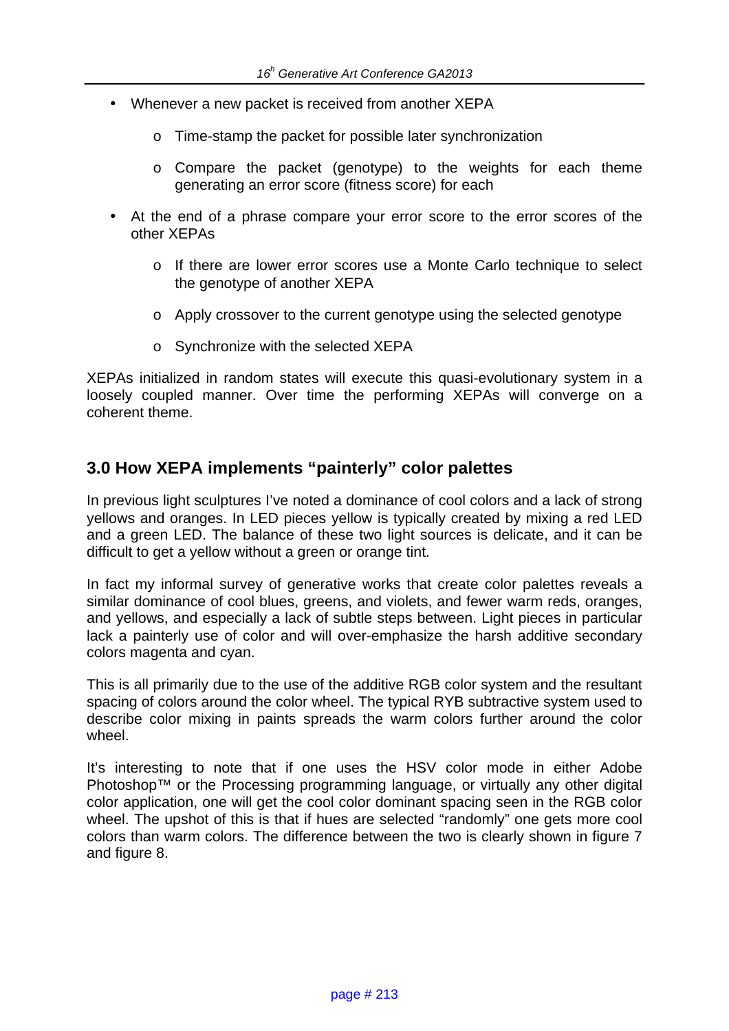- Whenever a new packet is received from another XEPA
	- o Time-stamp the packet for possible later synchronization
	- o Compare the packet (genotype) to the weights for each theme generating an error score (fitness score) for each
- At the end of a phrase compare your error score to the error scores of the other XEPAs
	- o If there are lower error scores use a Monte Carlo technique to select the genotype of another XEPA
	- o Apply crossover to the current genotype using the selected genotype
	- o Synchronize with the selected XEPA

XEPAs initialized in random states will execute this quasi-evolutionary system in a loosely coupled manner. Over time the performing XEPAs will converge on a coherent theme.

## **3.0 How XEPA implements "painterly" color palettes**

In previous light sculptures I've noted a dominance of cool colors and a lack of strong yellows and oranges. In LED pieces yellow is typically created by mixing a red LED and a green LED. The balance of these two light sources is delicate, and it can be difficult to get a yellow without a green or orange tint.

In fact my informal survey of generative works that create color palettes reveals a similar dominance of cool blues, greens, and violets, and fewer warm reds, oranges, and yellows, and especially a lack of subtle steps between. Light pieces in particular lack a painterly use of color and will over-emphasize the harsh additive secondary colors magenta and cyan.

This is all primarily due to the use of the additive RGB color system and the resultant spacing of colors around the color wheel. The typical RYB subtractive system used to describe color mixing in paints spreads the warm colors further around the color wheel.

It's interesting to note that if one uses the HSV color mode in either Adobe Photoshop™ or the Processing programming language, or virtually any other digital color application, one will get the cool color dominant spacing seen in the RGB color wheel. The upshot of this is that if hues are selected "randomly" one gets more cool colors than warm colors. The difference between the two is clearly shown in figure 7 and figure 8.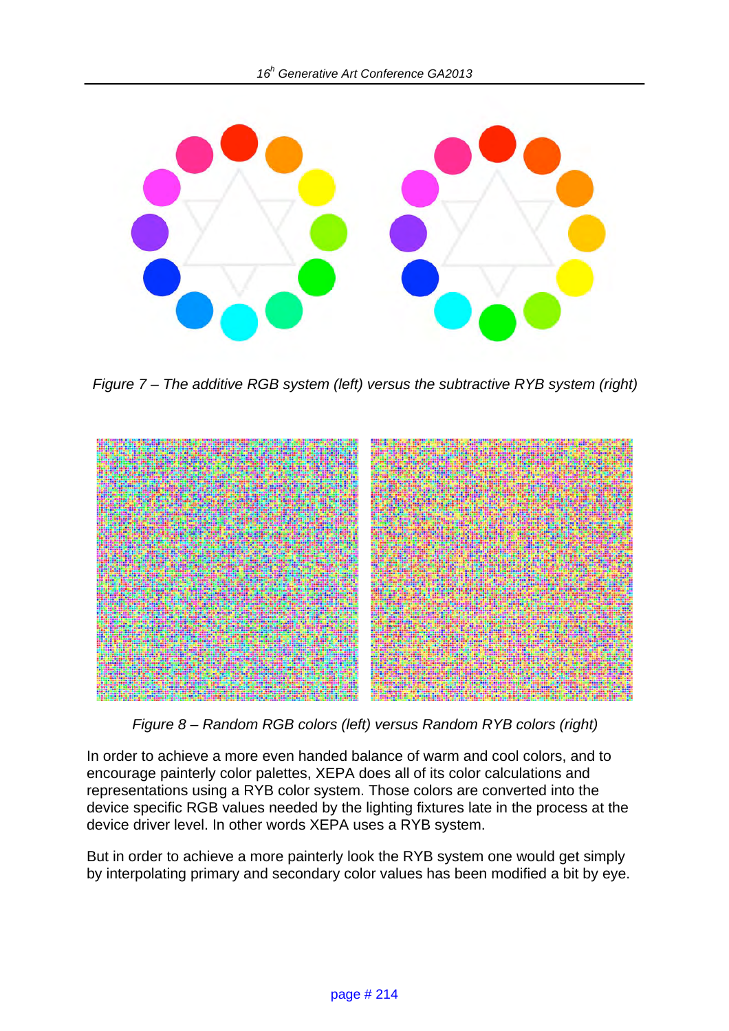

*Figure 7 – The additive RGB system (left) versus the subtractive RYB system (right)* 



*Figure 8 – Random RGB colors (left) versus Random RYB colors (right)* 

In order to achieve a more even handed balance of warm and cool colors, and to encourage painterly color palettes, XEPA does all of its color calculations and representations using a RYB color system. Those colors are converted into the device specific RGB values needed by the lighting fixtures late in the process at the device driver level. In other words XEPA uses a RYB system.

But in order to achieve a more painterly look the RYB system one would get simply by interpolating primary and secondary color values has been modified a bit by eye.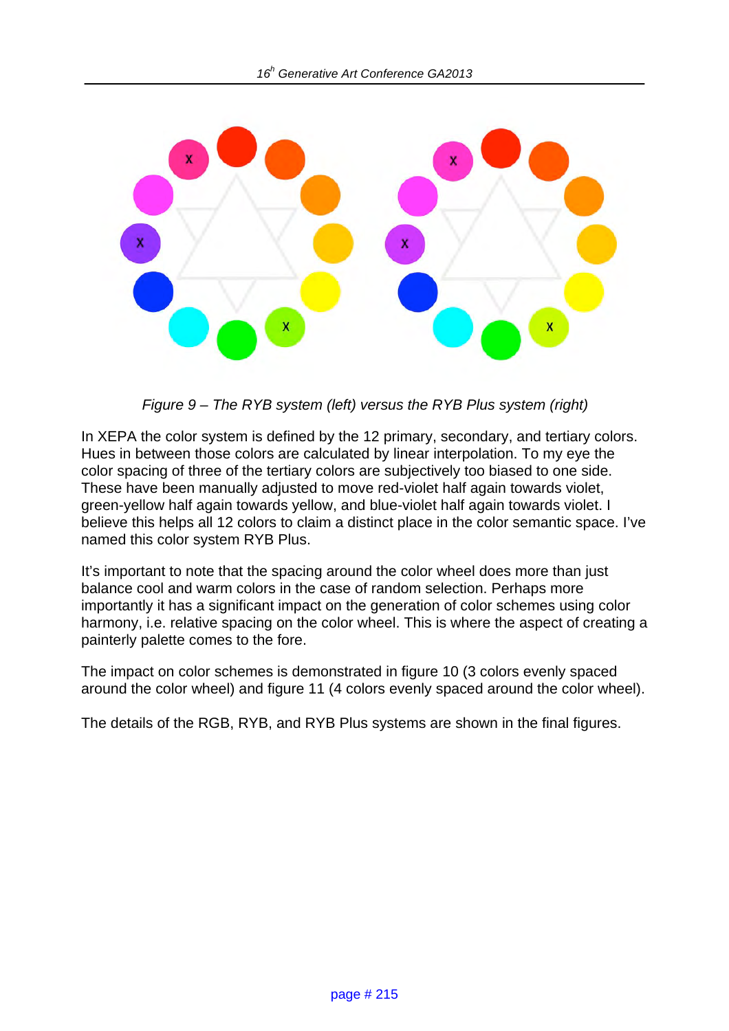

*Figure 9 – The RYB system (left) versus the RYB Plus system (right)* 

In XEPA the color system is defined by the 12 primary, secondary, and tertiary colors. Hues in between those colors are calculated by linear interpolation. To my eye the color spacing of three of the tertiary colors are subjectively too biased to one side. These have been manually adjusted to move red-violet half again towards violet, green-yellow half again towards yellow, and blue-violet half again towards violet. I believe this helps all 12 colors to claim a distinct place in the color semantic space. I've named this color system RYB Plus.

It's important to note that the spacing around the color wheel does more than just balance cool and warm colors in the case of random selection. Perhaps more importantly it has a significant impact on the generation of color schemes using color harmony, i.e. relative spacing on the color wheel. This is where the aspect of creating a painterly palette comes to the fore.

The impact on color schemes is demonstrated in figure 10 (3 colors evenly spaced around the color wheel) and figure 11 (4 colors evenly spaced around the color wheel).

The details of the RGB, RYB, and RYB Plus systems are shown in the final figures.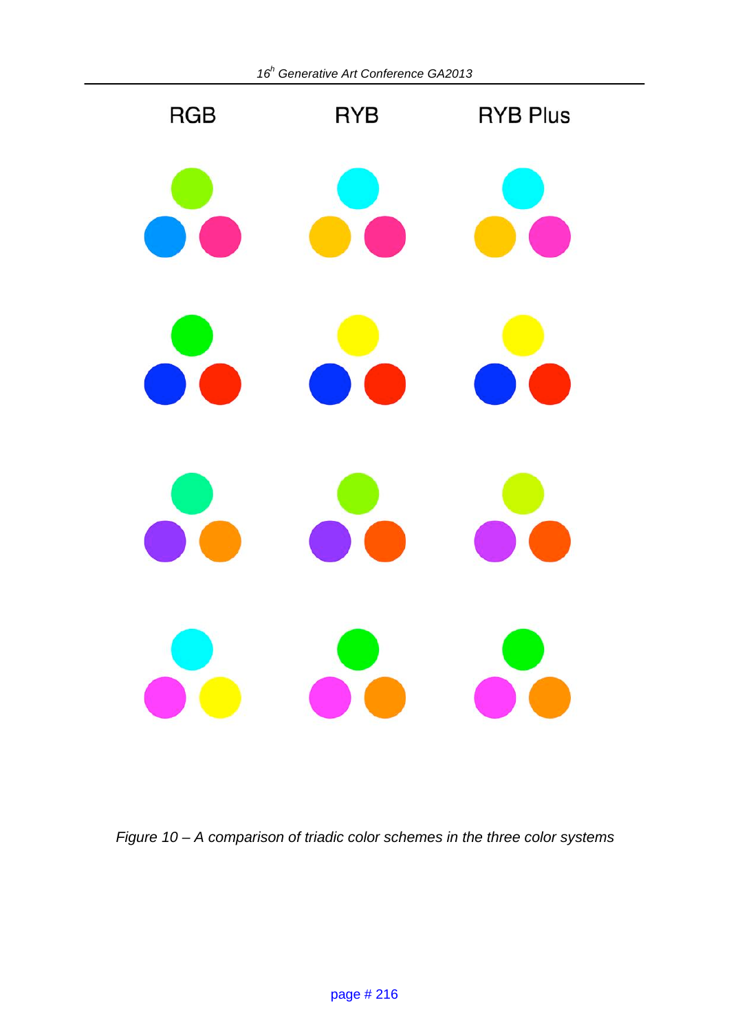

*Figure 10 – A comparison of triadic color schemes in the three color systems*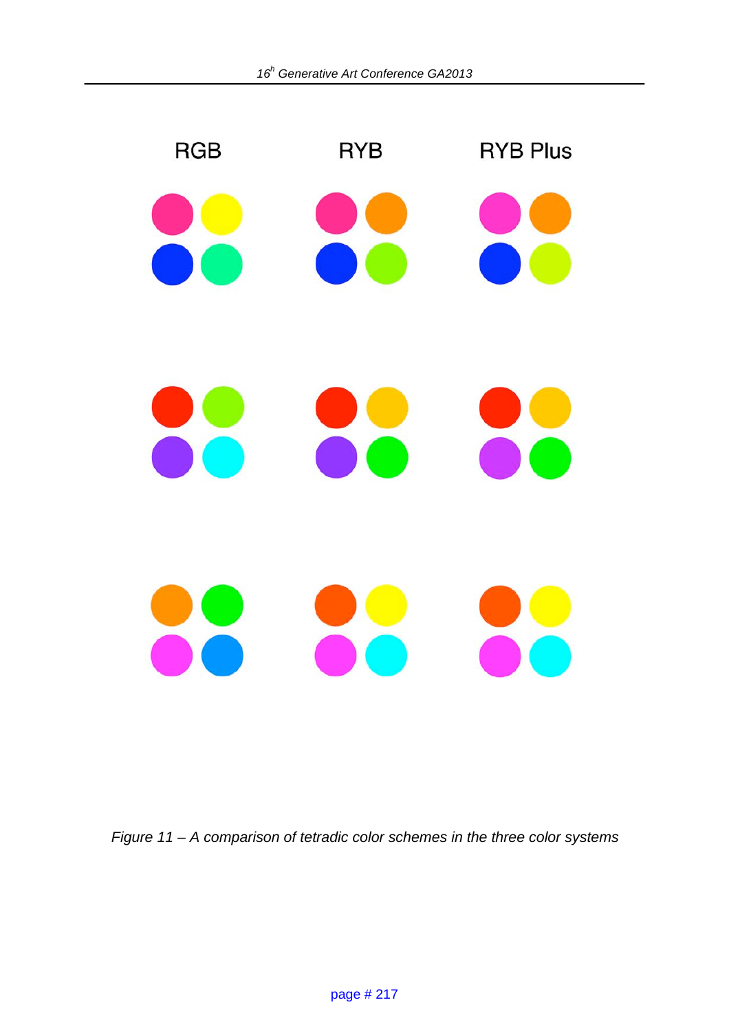

*Figure 11 – A comparison of tetradic color schemes in the three color systems*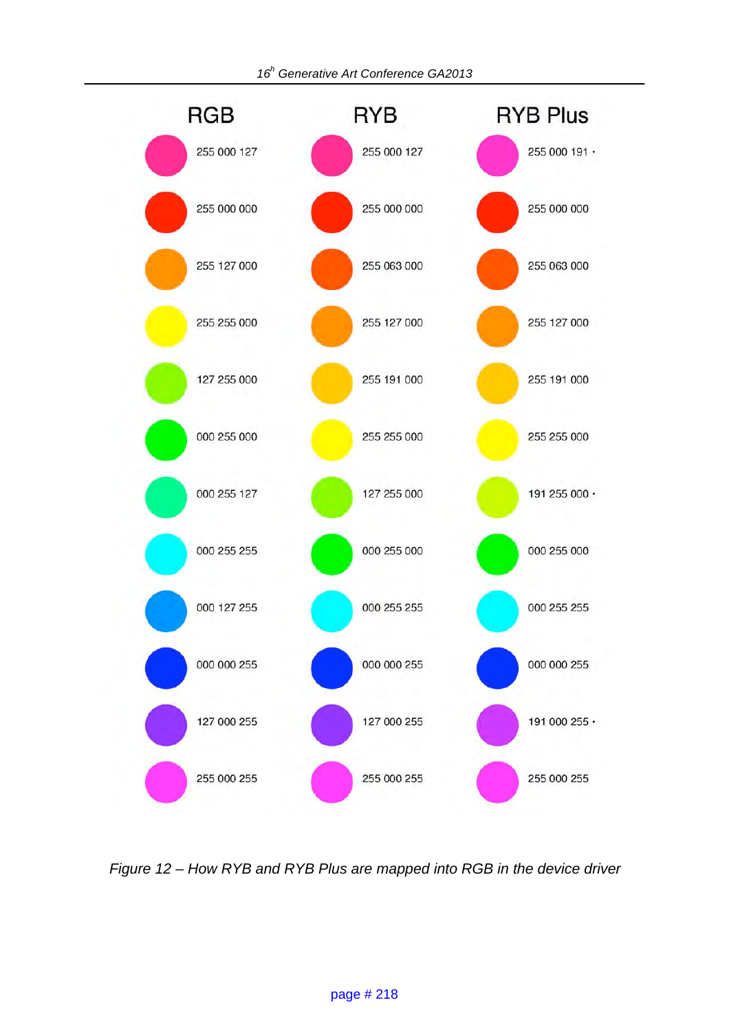

*Figure 12 – How RYB and RYB Plus are mapped into RGB in the device driver*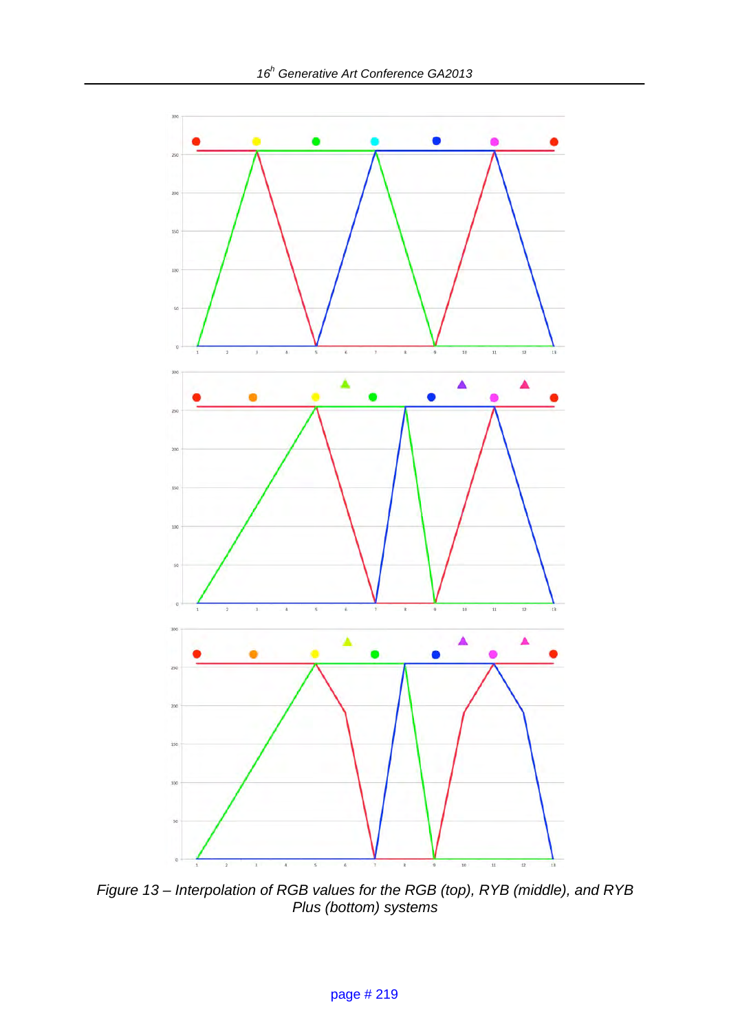

*Figure 13 – Interpolation of RGB values for the RGB (top), RYB (middle), and RYB Plus (bottom) systems*